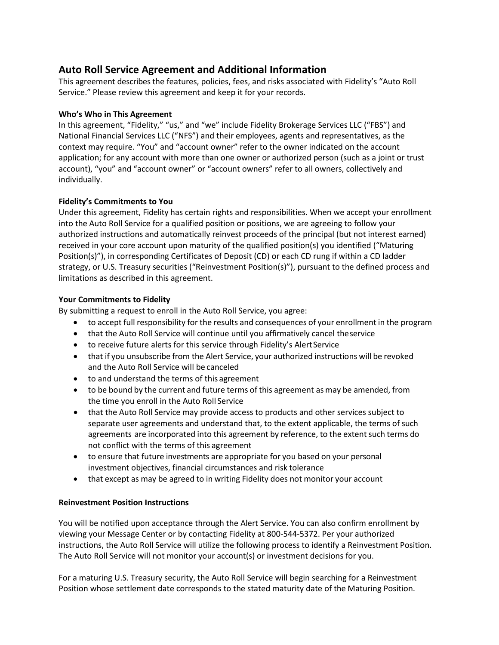# **Auto Roll Service Agreement and Additional Information**

This agreement describes the features, policies, fees, and risks associated with Fidelity's "Auto Roll Service." Please review this agreement and keep it for your records.

# **Who's Who in This Agreement**

In this agreement, "Fidelity," "us," and "we" include Fidelity Brokerage Services LLC ("FBS") and National Financial Services LLC ("NFS") and their employees, agents and representatives, as the context may require. "You" and "account owner" refer to the owner indicated on the account application; for any account with more than one owner or authorized person (such as a joint or trust account), "you" and "account owner" or "account owners" refer to all owners, collectively and individually.

### **Fidelity's Commitments to You**

Under this agreement, Fidelity has certain rights and responsibilities. When we accept your enrollment into the Auto Roll Service for a qualified position or positions, we are agreeing to follow your authorized instructions and automatically reinvest proceeds of the principal (but not interest earned) received in your core account upon maturity of the qualified position(s) you identified ("Maturing Position(s)"), in corresponding Certificates of Deposit (CD) or each CD rung if within a CD ladder strategy, or U.S. Treasury securities ("Reinvestment Position(s)"), pursuant to the defined process and limitations as described in this agreement.

# **Your Commitments to Fidelity**

By submitting a request to enroll in the Auto Roll Service, you agree:

- to accept full responsibility for the results and consequences of your enrollment in the program
- that the Auto Roll Service will continue until you affirmatively cancel theservice
- to receive future alerts for this service through Fidelity's Alert Service
- that if you unsubscribe from the Alert Service, your authorized instructions will be revoked and the Auto Roll Service will be canceled
- to and understand the terms of this agreement
- to be bound by the current and future terms of this agreement as may be amended, from the time you enroll in the Auto Roll Service
- that the Auto Roll Service may provide access to products and other services subject to separate user agreements and understand that, to the extent applicable, the terms of such agreements are incorporated into this agreement by reference, to the extent such terms do not conflict with the terms of this agreement
- to ensure that future investments are appropriate for you based on your personal investment objectives, financial circumstances and risk tolerance
- that except as may be agreed to in writing Fidelity does not monitor your account

# **Reinvestment Position Instructions**

You will be notified upon acceptance through the Alert Service. You can also confirm enrollment by viewing your Message Center or by contacting Fidelity at 800-544-5372. Per your authorized instructions, the Auto Roll Service will utilize the following process to identify a Reinvestment Position. The Auto Roll Service will not monitor your account(s) or investment decisions for you.

For a maturing U.S. Treasury security, the Auto Roll Service will begin searching for a Reinvestment Position whose settlement date corresponds to the stated maturity date of the Maturing Position.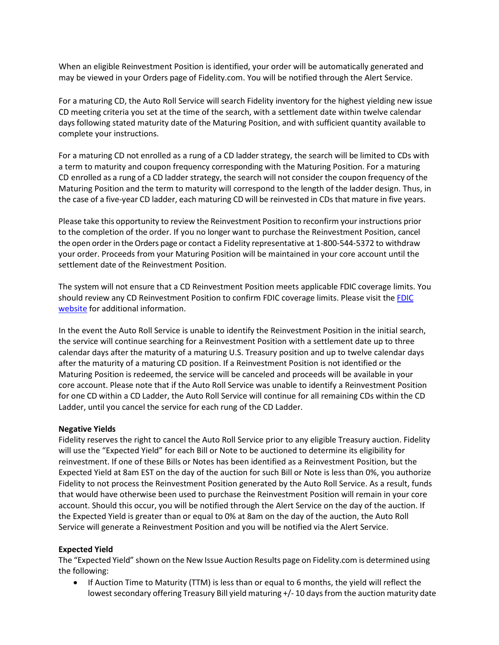When an eligible Reinvestment Position is identified, your order will be automatically generated and may be viewed in your Orders page of Fidelity.com. You will be notified through the Alert Service.

For a maturing CD, the Auto Roll Service will search Fidelity inventory for the highest yielding new issue CD meeting criteria you set at the time of the search, with a settlement date within twelve calendar days following stated maturity date of the Maturing Position, and with sufficient quantity available to complete your instructions.

For a maturing CD not enrolled as a rung of a CD ladder strategy, the search will be limited to CDs with a term to maturity and coupon frequency corresponding with the Maturing Position. For a maturing CD enrolled as a rung of a CD ladder strategy, the search will not consider the coupon frequency of the Maturing Position and the term to maturity will correspond to the length of the ladder design. Thus, in the case of a five-year CD ladder, each maturing CD will be reinvested in CDs that mature in five years.

Please take this opportunity to review the Reinvestment Position to reconfirm your instructions prior to the completion of the order. If you no longer want to purchase the Reinvestment Position, cancel the open order in the Orders page or contact a Fidelity representative at 1-800-544-5372 to withdraw your order. Proceeds from your Maturing Position will be maintained in your core account until the settlement date of the Reinvestment Position.

The system will not ensure that a CD Reinvestment Position meets applicable FDIC coverage limits. You should review any CD Reinvestment Position to confirm [FDIC](http://www.fdic.gov/) coverage limits. Please visit the FDIC [website](http://www.fdic.gov/) for additional information.

In the event the Auto Roll Service is unable to identify the Reinvestment Position in the initial search, the service will continue searching for a Reinvestment Position with a settlement date up to three calendar days after the maturity of a maturing U.S. Treasury position and up to twelve calendar days after the maturity of a maturing CD position. If a Reinvestment Position is not identified or the Maturing Position is redeemed, the service will be canceled and proceeds will be available in your core account. Please note that if the Auto Roll Service was unable to identify a Reinvestment Position for one CD within a CD Ladder, the Auto Roll Service will continue for all remaining CDs within the CD Ladder, until you cancel the service for each rung of the CD Ladder.

#### **Negative Yields**

Fidelity reserves the right to cancel the Auto Roll Service prior to any eligible Treasury auction. Fidelity will use the "Expected Yield" for each Bill or Note to be auctioned to determine its eligibility for reinvestment. If one of these Bills or Notes has been identified as a Reinvestment Position, but the Expected Yield at 8am EST on the day of the auction for such Bill or Note is less than 0%, you authorize Fidelity to not process the Reinvestment Position generated by the Auto Roll Service. As a result, funds that would have otherwise been used to purchase the Reinvestment Position will remain in your core account. Should this occur, you will be notified through the Alert Service on the day of the auction. If the Expected Yield is greater than or equal to 0% at 8am on the day of the auction, the Auto Roll Service will generate a Reinvestment Position and you will be notified via the Alert Service.

#### **Expected Yield**

The "Expected Yield" shown on the New Issue Auction Results page on Fidelity.com is determined using the following:

• If Auction Time to Maturity (TTM) is less than or equal to 6 months, the yield will reflect the lowest secondary offering Treasury Bill yield maturing +/-10 days from the auction maturity date